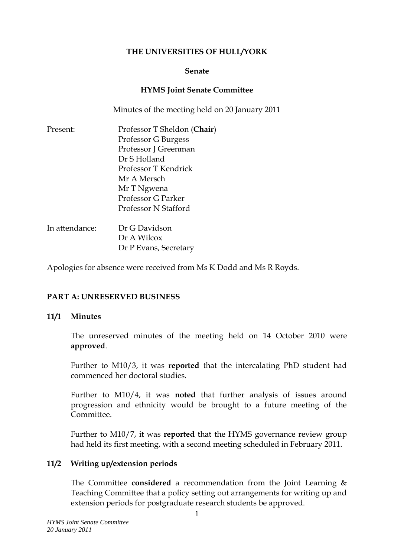### **THE UNIVERSITIES OF HULL/YORK**

#### **Senate**

### **HYMS Joint Senate Committee**

Minutes of the meeting held on 20 January 2011

| Present:       | Professor T Sheldon (Chair) |
|----------------|-----------------------------|
|                | Professor G Burgess         |
|                | Professor J Greenman        |
|                | Dr S Holland                |
|                | Professor T Kendrick        |
|                | Mr A Mersch                 |
|                | Mr T Ngwena                 |
|                | Professor G Parker          |
|                | Professor N Stafford        |
| In attendance: | Dr G Davidson               |
|                | Dr A Wilcox                 |

Apologies for absence were received from Ms K Dodd and Ms R Royds.

Dr P Evans, Secretary

# **PART A: UNRESERVED BUSINESS**

### **11/1 Minutes**

The unreserved minutes of the meeting held on 14 October 2010 were **approved**.

Further to M10/3, it was **reported** that the intercalating PhD student had commenced her doctoral studies.

Further to M10/4, it was **noted** that further analysis of issues around progression and ethnicity would be brought to a future meeting of the **Committee** 

Further to M10/7, it was **reported** that the HYMS governance review group had held its first meeting, with a second meeting scheduled in February 2011.

### **11/2 Writing up/extension periods**

The Committee **considered** a recommendation from the Joint Learning & Teaching Committee that a policy setting out arrangements for writing up and extension periods for postgraduate research students be approved.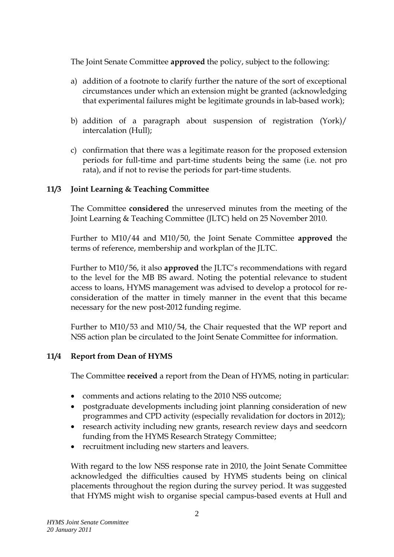The Joint Senate Committee **approved** the policy, subject to the following:

- a) addition of a footnote to clarify further the nature of the sort of exceptional circumstances under which an extension might be granted (acknowledging that experimental failures might be legitimate grounds in lab-based work);
- b) addition of a paragraph about suspension of registration (York)/ intercalation (Hull);
- c) confirmation that there was a legitimate reason for the proposed extension periods for full-time and part-time students being the same (i.e. not pro rata), and if not to revise the periods for part-time students.

# **11/3 Joint Learning & Teaching Committee**

The Committee **considered** the unreserved minutes from the meeting of the Joint Learning & Teaching Committee (JLTC) held on 25 November 2010.

Further to M10/44 and M10/50, the Joint Senate Committee **approved** the terms of reference, membership and workplan of the JLTC.

Further to M10/56, it also **approved** the JLTC's recommendations with regard to the level for the MB BS award. Noting the potential relevance to student access to loans, HYMS management was advised to develop a protocol for reconsideration of the matter in timely manner in the event that this became necessary for the new post-2012 funding regime.

Further to M10/53 and M10/54, the Chair requested that the WP report and NSS action plan be circulated to the Joint Senate Committee for information.

# **11/4 Report from Dean of HYMS**

The Committee **received** a report from the Dean of HYMS, noting in particular:

- comments and actions relating to the 2010 NSS outcome;
- postgraduate developments including joint planning consideration of new programmes and CPD activity (especially revalidation for doctors in 2012);
- research activity including new grants, research review days and seedcorn funding from the HYMS Research Strategy Committee;
- recruitment including new starters and leavers.

With regard to the low NSS response rate in 2010, the Joint Senate Committee acknowledged the difficulties caused by HYMS students being on clinical placements throughout the region during the survey period. It was suggested that HYMS might wish to organise special campus-based events at Hull and